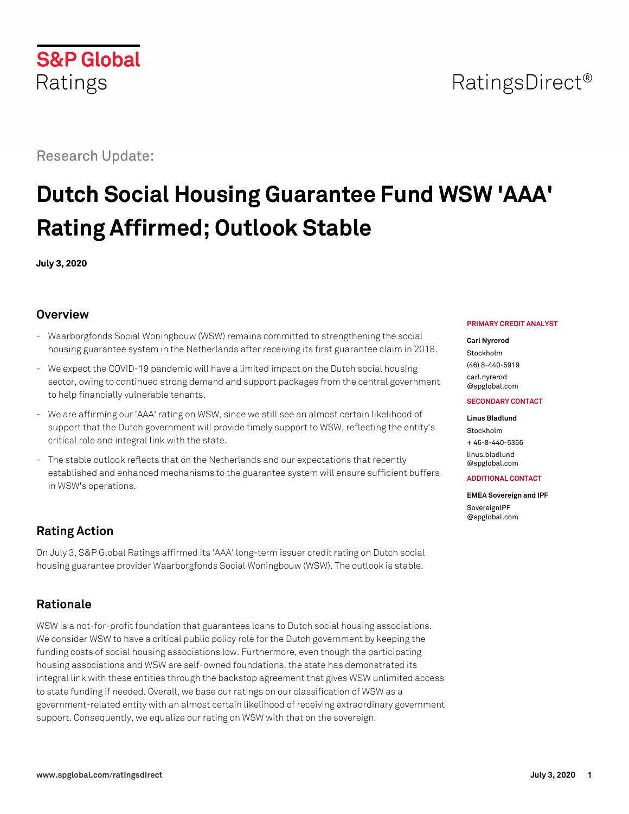# RatingsDirect<sup>®</sup>

Research Update:

# **Dutch Social Housing Guarantee Fund WSW 'AAA' Rating Affirmed; Outlook Stable**

**July 3, 2020**

## **Overview**

- Waarborgfonds Social Woningbouw (WSW) remains committed to strengthening the social housing guarantee system in the Netherlands after receiving its first guarantee claim in 2018.
- We expect the COVID-19 pandemic will have a limited impact on the Dutch social housing sector, owing to continued strong demand and support packages from the central government to help financially vulnerable tenants.
- We are affirming our 'AAA' rating on WSW, since we still see an almost certain likelihood of support that the Dutch government will provide timely support to WSW, reflecting the entity's critical role and integral link with the state.
- The stable outlook reflects that on the Netherlands and our expectations that recently established and enhanced mechanisms to the guarantee system will ensure sufficient buffers in WSW's operations.

## **Rating Action**

On July 3, S&P Global Ratings affirmed its 'AAA' long-term issuer credit rating on Dutch social housing guarantee provider Waarborgfonds Social Woningbouw (WSW). The outlook is stable.

## **Rationale**

WSW is a not-for-profit foundation that guarantees loans to Dutch social housing associations. We consider WSW to have a critical public policy role for the Dutch government by keeping the funding costs of social housing associations low. Furthermore, even though the participating housing associations and WSW are self-owned foundations, the state has demonstrated its integral link with these entities through the backstop agreement that gives WSW unlimited access to state funding if needed. Overall, we base our ratings on our classification of WSW as a government-related entity with an almost certain likelihood of receiving extraordinary government support. Consequently, we equalize our rating on WSW with that on the sovereign.

#### **PRIMARY CREDIT ANALYST**

#### **Carl Nyrerod**

Stockholm (46) 8-440-5919 [carl.nyrerod](mailto:carl.nyrerod@spglobal.com) [@spglobal.com](mailto:carl.nyrerod@spglobal.com)

#### **SECONDARY CONTACT**

#### **Linus Bladlund** Stockholm

 $+46-8-440-5356$ [linus.bladlund](mailto:linus.bladlund@spglobal.com) [@spglobal.com](mailto:linus.bladlund@spglobal.com)

#### **ADDITIONAL CONTACT**

**EMEA Sovereign and IPF** [SovereignIPF](mailto:SovereignIPF@spglobal.com) [@spglobal.com](mailto:SovereignIPF@spglobal.com)

**S&P Global** Ratings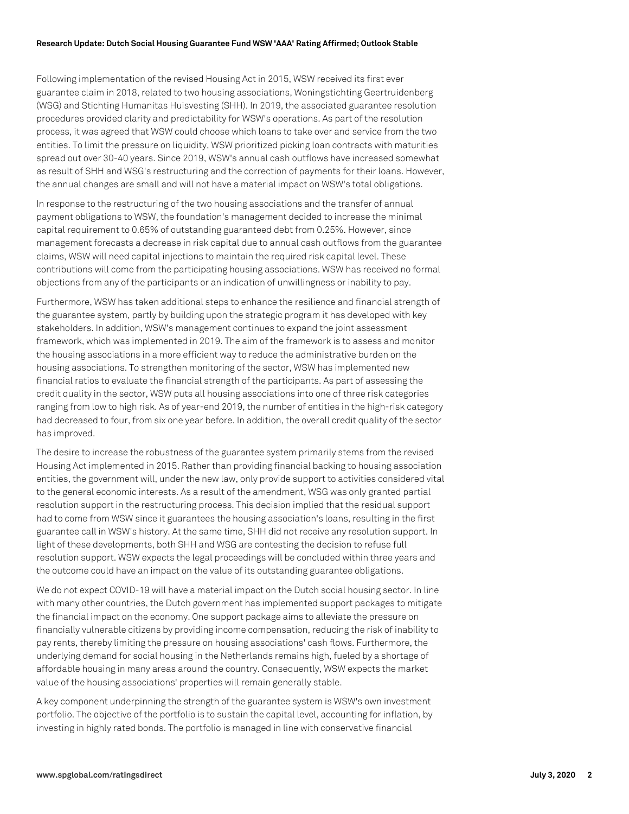#### **Research Update: Dutch Social Housing Guarantee Fund WSW 'AAA' Rating Affirmed; Outlook Stable**

Following implementation of the revised Housing Act in 2015, WSW received its first ever guarantee claim in 2018, related to two housing associations, Woningstichting Geertruidenberg (WSG) and Stichting Humanitas Huisvesting (SHH). In 2019, the associated guarantee resolution procedures provided clarity and predictability for WSW's operations. As part of the resolution process, it was agreed that WSW could choose which loans to take over and service from the two entities. To limit the pressure on liquidity, WSW prioritized picking loan contracts with maturities spread out over 30-40 years. Since 2019, WSW's annual cash outflows have increased somewhat as result of SHH and WSG's restructuring and the correction of payments for their loans. However, the annual changes are small and will not have a material impact on WSW's total obligations.

In response to the restructuring of the two housing associations and the transfer of annual payment obligations to WSW, the foundation's management decided to increase the minimal capital requirement to 0.65% of outstanding guaranteed debt from 0.25%. However, since management forecasts a decrease in risk capital due to annual cash outflows from the guarantee claims, WSW will need capital injections to maintain the required risk capital level. These contributions will come from the participating housing associations. WSW has received no formal objections from any of the participants or an indication of unwillingness or inability to pay.

Furthermore, WSW has taken additional steps to enhance the resilience and financial strength of the guarantee system, partly by building upon the strategic program it has developed with key stakeholders. In addition, WSW's management continues to expand the joint assessment framework, which was implemented in 2019. The aim of the framework is to assess and monitor the housing associations in a more efficient way to reduce the administrative burden on the housing associations. To strengthen monitoring of the sector, WSW has implemented new financial ratios to evaluate the financial strength of the participants. As part of assessing the credit quality in the sector, WSW puts all housing associations into one of three risk categories ranging from low to high risk. As of year-end 2019, the number of entities in the high-risk category had decreased to four, from six one year before. In addition, the overall credit quality of the sector has improved.

The desire to increase the robustness of the guarantee system primarily stems from the revised Housing Act implemented in 2015. Rather than providing financial backing to housing association entities, the government will, under the new law, only provide support to activities considered vital to the general economic interests. As a result of the amendment, WSG was only granted partial resolution support in the restructuring process. This decision implied that the residual support had to come from WSW since it guarantees the housing association's loans, resulting in the first guarantee call in WSW's history. At the same time, SHH did not receive any resolution support. In light of these developments, both SHH and WSG are contesting the decision to refuse full resolution support. WSW expects the legal proceedings will be concluded within three years and the outcome could have an impact on the value of its outstanding guarantee obligations.

We do not expect COVID-19 will have a material impact on the Dutch social housing sector. In line with many other countries, the Dutch government has implemented support packages to mitigate the financial impact on the economy. One support package aims to alleviate the pressure on financially vulnerable citizens by providing income compensation, reducing the risk of inability to pay rents, thereby limiting the pressure on housing associations' cash flows. Furthermore, the underlying demand for social housing in the Netherlands remains high, fueled by a shortage of affordable housing in many areas around the country. Consequently, WSW expects the market value of the housing associations' properties will remain generally stable.

A key component underpinning the strength of the guarantee system is WSW's own investment portfolio. The objective of the portfolio is to sustain the capital level, accounting for inflation, by investing in highly rated bonds. The portfolio is managed in line with conservative financial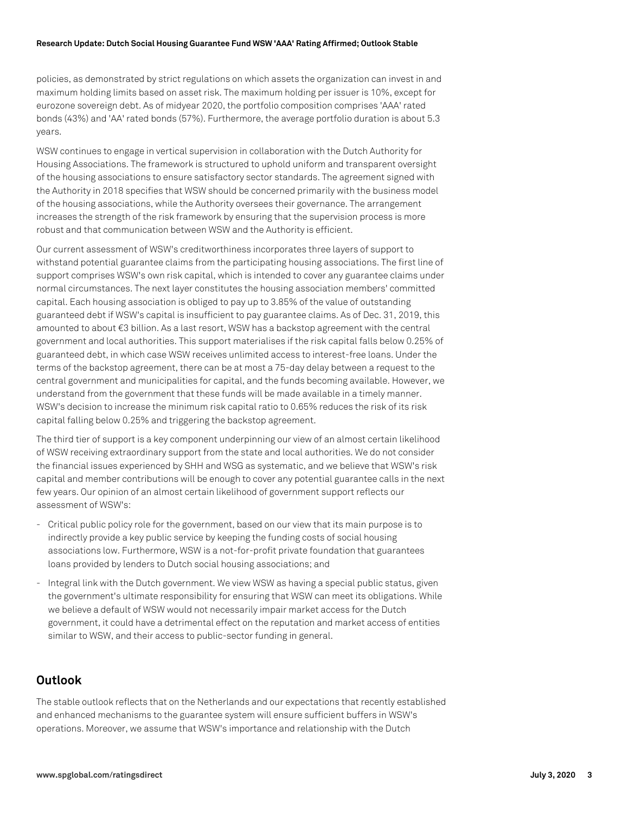#### **Research Update: Dutch Social Housing Guarantee Fund WSW 'AAA' Rating Affirmed; Outlook Stable**

policies, as demonstrated by strict regulations on which assets the organization can invest in and maximum holding limits based on asset risk. The maximum holding per issuer is 10%, except for eurozone sovereign debt. As of midyear 2020, the portfolio composition comprises 'AAA' rated bonds (43%) and 'AA' rated bonds (57%). Furthermore, the average portfolio duration is about 5.3 years.

WSW continues to engage in vertical supervision in collaboration with the Dutch Authority for Housing Associations. The framework is structured to uphold uniform and transparent oversight of the housing associations to ensure satisfactory sector standards. The agreement signed with the Authority in 2018 specifies that WSW should be concerned primarily with the business model of the housing associations, while the Authority oversees their governance. The arrangement increases the strength of the risk framework by ensuring that the supervision process is more robust and that communication between WSW and the Authority is efficient.

Our current assessment of WSW's creditworthiness incorporates three layers of support to withstand potential guarantee claims from the participating housing associations. The first line of support comprises WSW's own risk capital, which is intended to cover any guarantee claims under normal circumstances. The next layer constitutes the housing association members' committed capital. Each housing association is obliged to pay up to 3.85% of the value of outstanding guaranteed debt if WSW's capital is insufficient to pay guarantee claims. As of Dec. 31, 2019, this amounted to about €3 billion. As a last resort, WSW has a backstop agreement with the central government and local authorities. This support materialises if the risk capital falls below 0.25% of guaranteed debt, in which case WSW receives unlimited access to interest-free loans. Under the terms of the backstop agreement, there can be at most a 75-day delay between a request to the central government and municipalities for capital, and the funds becoming available. However, we understand from the government that these funds will be made available in a timely manner. WSW's decision to increase the minimum risk capital ratio to 0.65% reduces the risk of its risk capital falling below 0.25% and triggering the backstop agreement.

The third tier of support is a key component underpinning our view of an almost certain likelihood of WSW receiving extraordinary support from the state and local authorities. We do not consider the financial issues experienced by SHH and WSG as systematic, and we believe that WSW's risk capital and member contributions will be enough to cover any potential guarantee calls in the next few years. Our opinion of an almost certain likelihood of government support reflects our assessment of WSW's:

- Critical public policy role for the government, based on our view that its main purpose is to indirectly provide a key public service by keeping the funding costs of social housing associations low. Furthermore, WSW is a not-for-profit private foundation that guarantees loans provided by lenders to Dutch social housing associations; and
- Integral link with the Dutch government. We view WSW as having a special public status, given the government's ultimate responsibility for ensuring that WSW can meet its obligations. While we believe a default of WSW would not necessarily impair market access for the Dutch government, it could have a detrimental effect on the reputation and market access of entities similar to WSW, and their access to public-sector funding in general.

## **Outlook**

The stable outlook reflects that on the Netherlands and our expectations that recently established and enhanced mechanisms to the guarantee system will ensure sufficient buffers in WSW's operations. Moreover, we assume that WSW's importance and relationship with the Dutch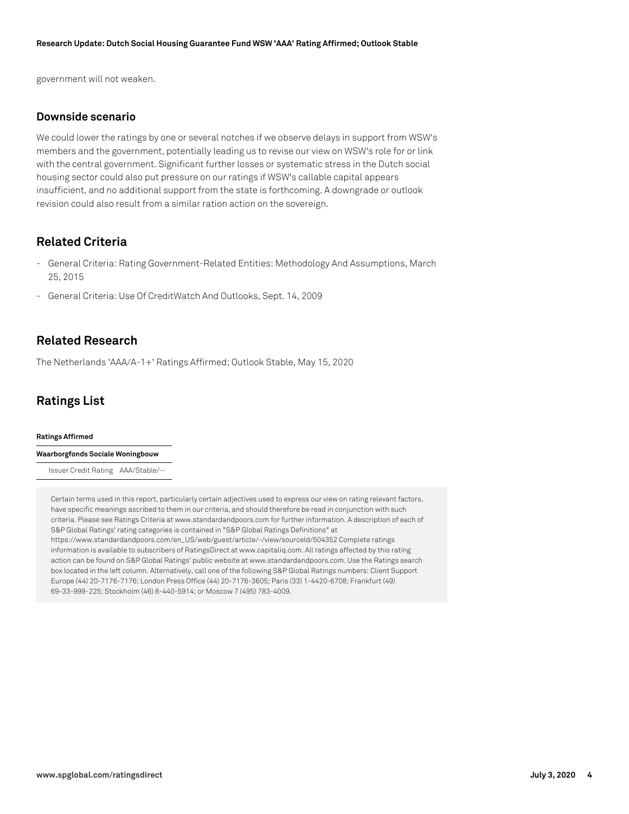government will not weaken.

#### **Downside scenario**

We could lower the ratings by one or several notches if we observe delays in support from WSW's members and the government, potentially leading us to revise our view on WSW's role for or link with the central government. Significant further losses or systematic stress in the Dutch social housing sector could also put pressure on our ratings if WSW's callable capital appears insufficient, and no additional support from the state is forthcoming. A downgrade or outlook revision could also result from a similar ration action on the sovereign.

## **Related Criteria**

- General Criteria: Rating Government-Related Entities: Methodology And Assumptions, March 25, 2015
- General Criteria: Use Of CreditWatch And Outlooks, Sept. 14, 2009

## **Related Research**

The Netherlands 'AAA/A-1+' Ratings Affirmed; Outlook Stable, May 15, 2020

## **Ratings List**

#### **Ratings Affirmed**

**Waarborgfonds Sociale Woningbouw**

Issuer Credit Rating AAA/Stable/--

Certain terms used in this report, particularly certain adjectives used to express our view on rating relevant factors, have specific meanings ascribed to them in our criteria, and should therefore be read in conjunction with such criteria. Please see Ratings Criteria at www.standardandpoors.com for further information. A description of each of S&P Global Ratings' rating categories is contained in "S&P Global Ratings Definitions" at https://www.standardandpoors.com/en\_US/web/guest/article/-/view/sourceId/504352 Complete ratings information is available to subscribers of RatingsDirect at www.capitaliq.com. All ratings affected by this rating action can be found on S&P Global Ratings' public website at www.standardandpoors.com. Use the Ratings search box located in the left column. Alternatively, call one of the following S&P Global Ratings numbers: Client Support Europe (44) 20-7176-7176; London Press Office (44) 20-7176-3605; Paris (33) 1-4420-6708; Frankfurt (49) 69-33-999-225; Stockholm (46) 8-440-5914; or Moscow 7 (495) 783-4009.